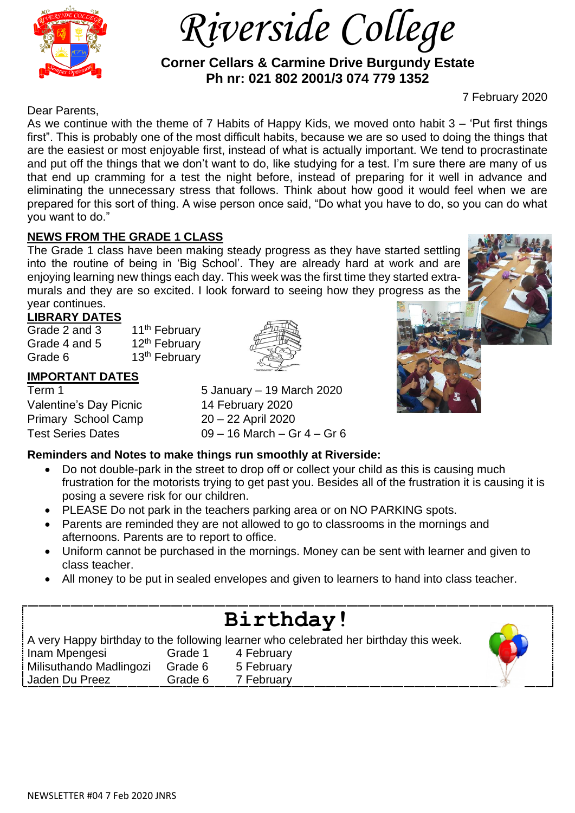

 *Riverside College*

 **Corner Cellars & Carmine Drive Burgundy Estate Ph nr: 021 802 2001/3 074 779 1352**

### 7 February 2020

Dear Parents,

As we continue with the theme of 7 Habits of Happy Kids, we moved onto habit 3 – 'Put first things first". This is probably one of the most difficult habits, because we are so used to doing the things that are the easiest or most enjoyable first, instead of what is actually important. We tend to procrastinate and put off the things that we don't want to do, like studying for a test. I'm sure there are many of us that end up cramming for a test the night before, instead of preparing for it well in advance and eliminating the unnecessary stress that follows. Think about how good it would feel when we are prepared for this sort of thing. A wise person once said, "Do what you have to do, so you can do what you want to do."

## **NEWS FROM THE GRADE 1 CLASS**

The Grade 1 class have been making steady progress as they have started settling into the routine of being in 'Big School'. They are already hard at work and are enjoying learning new things each day. This week was the first time they started extramurals and they are so excited. I look forward to seeing how they progress as the year continues.

## **LIBRARY DATES**

Grade 2 and 3  $11<sup>th</sup>$  February Grade 4 and 5  $12<sup>th</sup>$  February Grade 6 13th February

## **IMPORTANT DATES**

Valentine's Day Picnic 14 February 2020 Primary School Camp 20 – 22 April 2020

Term 1 5 January – 19 March 2020 Test Series Dates 09 – 16 March – Gr 4 – Gr 6



## **Reminders and Notes to make things run smoothly at Riverside:**

- Do not double-park in the street to drop off or collect your child as this is causing much frustration for the motorists trying to get past you. Besides all of the frustration it is causing it is posing a severe risk for our children.
- PLEASE Do not park in the teachers parking area or on NO PARKING spots.
- Parents are reminded they are not allowed to go to classrooms in the mornings and afternoons. Parents are to report to office.
- Uniform cannot be purchased in the mornings. Money can be sent with learner and given to class teacher.
- All money to be put in sealed envelopes and given to learners to hand into class teacher.

# **Birthday!**

A very Happy birthday to the following learner who celebrated her birthday this week.

Inam Mpengesi Grade 1 4 February Milisuthando Madlingozi Grade 6 5 February Jaden Du Preez **Grade 6 7 February**